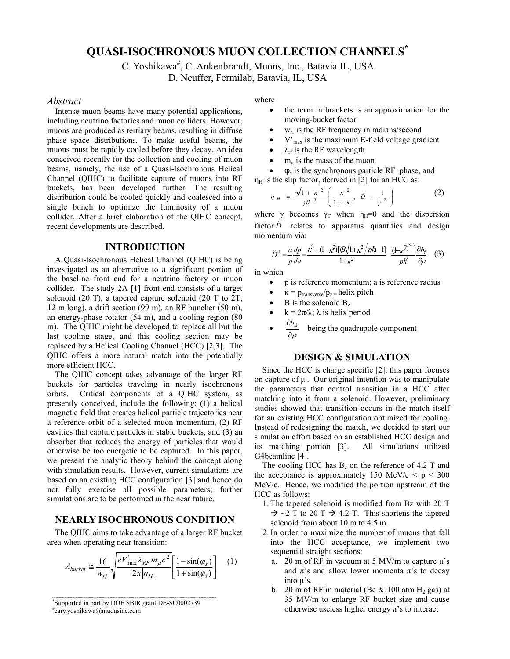# **QUASI-ISOCHRONOUS MUON COLLECTION CHANNELS\***

C. Yoshikawa<sup>#</sup>, C. Ankenbrandt, Muons, Inc., Batavia IL, USA

D. Neuffer, Fermilab, Batavia, IL, USA

#### *Abstract*

Intense muon beams have many potential applications, including neutrino factories and muon colliders. However, muons are produced as tertiary beams, resulting in diffuse phase space distributions. To make useful beams, the muons must be rapidly cooled before they decay. An idea conceived recently for the collection and cooling of muon beams, namely, the use of a Quasi-Isochronous Helical Channel (QIHC) to facilitate capture of muons into RF buckets, has been developed further. The resulting distribution could be cooled quickly and coalesced into a single bunch to optimize the luminosity of a muon collider. After a brief elaboration of the QIHC concept, recent developments are described.

#### **INTRODUCTION**

A Quasi-Isochronous Helical Channel (QIHC) is being investigated as an alternative to a significant portion of the baseline front end for a neutrino factory or muon collider. The study 2A [1] front end consists of a target solenoid (20 T), a tapered capture solenoid (20 T to 2T, 12 m long), a drift section (99 m), an RF buncher (50 m), an energy-phase rotator (54 m), and a cooling region (80 m). The QIHC might be developed to replace all but the last cooling stage, and this cooling section may be replaced by a Helical Cooling Channel (HCC) [2,3]. The QIHC offers a more natural match into the potentially more efficient HCC.

The QIHC concept takes advantage of the larger RF buckets for particles traveling in nearly isochronous orbits. Critical components of a QIHC system, as presently conceived, include the following: (1) a helical magnetic field that creates helical particle trajectories near a reference orbit of a selected muon momentum, (2) RF cavities that capture particles in stable buckets, and (3) an absorber that reduces the energy of particles that would otherwise be too energetic to be captured. In this paper, we present the analytic theory behind the concept along with simulation results. However, current simulations are based on an existing HCC configuration [3] and hence do not fully exercise all possible parameters; further simulations are to be performed in the near future.

## **NEARLY ISOCHRONOUS CONDITION**

The QIHC aims to take advantage of a larger RF bucket area when operating near transition:

$$
A_{bucket} \cong \frac{16}{w_{rf}} \sqrt{\frac{eV_{\text{max}}^{\dagger} \lambda_{RF} m_{\mu} c^2}{2\pi |\eta_H|}} \left[\frac{1 - \sin(\varphi_s)}{1 + \sin(\phi_s)}\right] \quad (1)
$$

# cary.yoshikawa@muonsinc.com

where

- the term in brackets is an approximation for the moving-bucket factor
- $w_{\text{rf}}$  is the RF frequency in radians/second
- $V'_{\text{max}}$  is the maximum E-field voltage gradient
- $\lambda_{\text{rf}}$  is the RF wavelength
- $m_{\mu}$  is the mass of the muon
- $\bullet$   $\phi_s$  is the synchronous particle RF phase, and  $\eta_H$  is the slip factor, derived in [2] for an HCC as:

$$
\eta_{H} = \frac{\sqrt{1 + \kappa^{2}}}{\gamma \beta^{\frac{3}{2}}} \left( \frac{\kappa^{2}}{1 + \kappa^{2}} \hat{D} - \frac{1}{\gamma^{2}} \right) \tag{2}
$$

where  $\gamma$  becomes  $\gamma_T$  when  $\eta_H=0$  and the dispersion factor  $\hat{D}$  relates to apparatus quantities and design momentum via:

$$
\hat{D}^1 = \frac{a}{p}\frac{dp}{da} = \frac{\kappa^2 + (1 - \kappa^2)[\mathcal{B}\sqrt{1 + \kappa^2}/p\hbar) - 1]}{1 + \kappa^2} - \frac{(1 + \kappa^2)^{3/2}}{pk^2}\frac{\partial b_{\phi}}{\partial \rho} \quad (3)
$$

in which

- p is reference momentum; a is reference radius
- $\kappa = p_{transverse}/p_z =$ helix pitch
- $\bullet$  B is the solenoid  $B_z$
- $k = 2\pi/\lambda$ ;  $\lambda$  is helix period
- $\partial \rho$  $\frac{\partial b_{\phi}}{\partial \phi}$  being the quadrupole component

## **DESIGN & SIMULATION**

Since the HCC is charge specific [2], this paper focuses on capture of  $\mu$ . Our original intention was to manipulate the parameters that control transition in a HCC after matching into it from a solenoid. However, preliminary studies showed that transition occurs in the match itself for an existing HCC configuration optimized for cooling. Instead of redesigning the match, we decided to start our simulation effort based on an established HCC design and its matching portion [3]. All simulations utilized G4beamline [4].

The cooling HCC has  $B_z$  on the reference of 4.2 T and the acceptance is approximately 150 MeV/c  $\lt p \lt 300$ MeV/c. Hence, we modified the portion upstream of the HCC as follows:

- 1. The tapered solenoid is modified from Bz with 20 T  $\rightarrow$  ~2 T to 20 T  $\rightarrow$  4.2 T. This shortens the tapered solenoid from about 10 m to 4.5 m.
- 2. In order to maximize the number of muons that fall into the HCC acceptance, we implement two sequential straight sections:
	- a. 20 m of RF in vacuum at 5 MV/m to capture  $\mu$ 's and  $\pi$ 's and allow lower momenta  $\pi$ 's to decay into µ's.
	- b. 20 m of RF in material (Be  $& 100$  atm H<sub>2</sub> gas) at 35 MV/m to enlarge RF bucket size and cause otherwise useless higher energy  $\pi$ 's to interact

<sup>\*</sup>Supported in part by DOE SBIR grant DE-SC0002739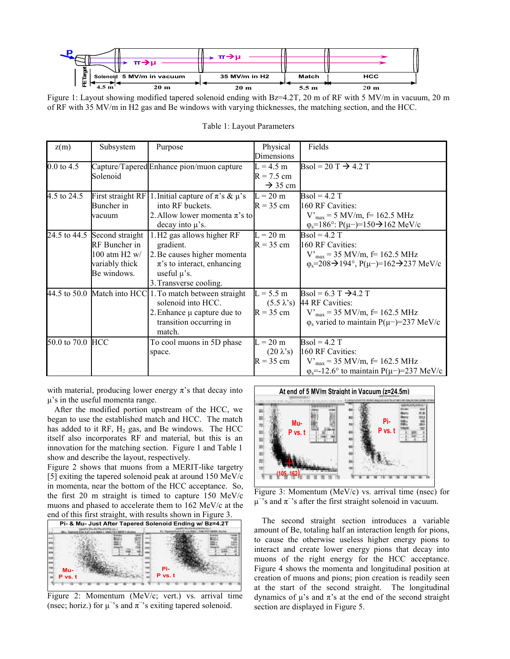| π→μ                                 | п.              |              |                 |
|-------------------------------------|-----------------|--------------|-----------------|
|                                     |                 |              |                 |
| Solenoid 5 MV/m in vacuum<br>₾<br>ш | 35 MV/m in H2   | <b>Match</b> | <b>HCC</b>      |
| 20 <sub>m</sub>                     | 20 <sub>m</sub> | 5.5m         | 20 <sub>m</sub> |

Figure 1: Layout showing modified tapered solenoid ending with Bz=4.2T, 20 m of RF with 5 MV/m in vacuum, 20 m of RF with 35 MV/m in H2 gas and Be windows with varying thicknesses, the matching section, and the HCC.

| z(m)                  | Subsystem       | Purpose                                                     | Physical            | Fields                                                                           |
|-----------------------|-----------------|-------------------------------------------------------------|---------------------|----------------------------------------------------------------------------------|
|                       |                 |                                                             | Dimensions          |                                                                                  |
| $0.0 \text{ to } 4.5$ |                 | Capture/Tapered Enhance pion/muon capture                   | $L = 4.5$ m         | Bsol = 20 T $\rightarrow$ 4.2 T                                                  |
|                       | Solenoid        |                                                             | $R = 7.5$ cm        |                                                                                  |
|                       |                 |                                                             | $\rightarrow$ 35 cm |                                                                                  |
| 4.5 to 24.5           |                 | First straight RF 1. Initial capture of $\pi$ 's & $\mu$ 's | $L = 20$ m          | $\text{Bsol} = 4.2 \text{ T}$                                                    |
|                       | Buncher in      | into RF buckets.                                            | $R = 35$ cm         | 160 RF Cavities:                                                                 |
|                       | vacuum          | 2. Allow lower momenta $\pi$ 's to                          |                     | $V'_{max}$ = 5 MV/m, f = 162.5 MHz                                               |
|                       |                 | decay into $\mu$ 's.                                        |                     | $\varphi_s = 186^\circ$ : $P(\mu-) = 150 \rightarrow 162$ MeV/c                  |
| 24.5 to 44.5          | Second straight | 1.H <sub>2</sub> gas allows higher RF                       | $L = 20$ m          | $\text{Bsol} = 4.2 \text{ T}$                                                    |
|                       | RF Buncher in   | gradient.                                                   | $R = 35$ cm         | 160 RF Cavities:                                                                 |
|                       | 100 atm H2 $w/$ | 2. Be causes higher momenta                                 |                     | $V_{max}$ = 35 MV/m, f = 162.5 MHz                                               |
|                       | variably thick  | $\pi$ 's to interact, enhancing                             |                     | $\varphi_s = 208 \rightarrow 194^\circ$ , $P(\mu^-) = 162 \rightarrow 237$ MeV/c |
|                       | Be windows.     | useful $\mu$ 's.                                            |                     |                                                                                  |
|                       |                 | 3. Transverse cooling.                                      |                     |                                                                                  |
|                       |                 | 44.5 to 50.0 Match into HCC 1. To match between straight    | $L = 5.5$ m         | Bsol = 6.3 T $\rightarrow$ 4.2 T                                                 |
|                       |                 | solenoid into HCC.                                          |                     | $(5.5 \lambda's)$ 44 RF Cavities:                                                |
|                       |                 | 2. Enhance $\mu$ capture due to                             | $R = 35$ cm         | $V_{max}$ = 35 MV/m, f = 162.5 MHz                                               |
|                       |                 | transition occurring in                                     |                     | $\varphi$ <sub>s</sub> varied to maintain P( $\mu$ –)=237 MeV/c                  |
|                       |                 | match.                                                      |                     |                                                                                  |
| 50.0 to 70.0 HCC      |                 | To cool muons in 5D phase                                   | $L = 20$ m          | $\text{Bsol} = 4.2 \text{ T}$                                                    |
|                       |                 | space.                                                      | $(20 \lambda's)$    | 160 RF Cavities:                                                                 |
|                       |                 |                                                             | $R = 35$ cm         | $V_{max}$ = 35 MV/m, f = 162.5 MHz                                               |
|                       |                 |                                                             |                     | $\varphi_s$ =-12.6° to maintain P( $\mu$ –)=237 MeV/c                            |

Table 1: Layout Parameters

with material, producing lower energy  $\pi$ 's that decay into µ's in the useful momenta range.

After the modified portion upstream of the HCC, we began to use the established match and HCC. The match has added to it RF,  $H_2$  gas, and Be windows. The HCC itself also incorporates RF and material, but this is an innovation for the matching section. Figure 1 and Table 1 show and describe the layout, respectively.

Figure 2 shows that muons from a MERIT-like targetry [5] exiting the tapered solenoid peak at around 150 MeV/c in momenta, near the bottom of the HCC acceptance. So, the first 20 m straight is timed to capture 150 MeV/c muons and phased to accelerate them to 162 MeV/c at the end of this first straight, with results shown in Figure 3.



Figure 2: Momentum (MeV/c; vert.) vs. arrival time (nsec; horiz.) for  $\mu$ <sup>-</sup>'s and  $\pi$ <sup>-</sup>'s exiting tapered solenoid.



Figure 3: Momentum (MeV/c) vs. arrival time (nsec) for  $\mu$ <sup>-</sup>'s and  $\pi$ <sup>-</sup>'s after the first straight solenoid in vacuum.

The second straight section introduces a variable amount of Be, totaling half an interaction length for pions, to cause the otherwise useless higher energy pions to interact and create lower energy pions that decay into muons of the right energy for the HCC acceptance. Figure 4 shows the momenta and longitudinal position at creation of muons and pions; pion creation is readily seen at the start of the second straight. The longitudinal dynamics of  $\mu$ 's and  $\pi$ 's at the end of the second straight section are displayed in Figure 5.